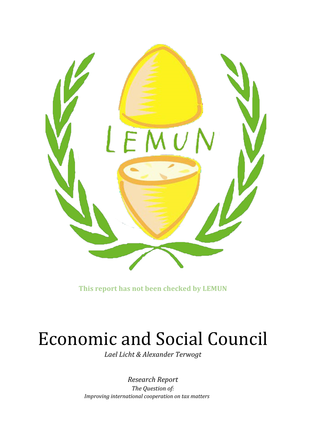

This report has not been checked by LEMUN

# Economic and Social Council

*Lael Licht & Alexander Terwogt*

*Research Report The Question of: Improving international cooperation on tax matters*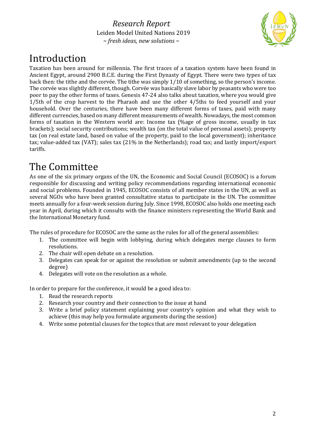*Research Report*  Leiden Model United Nations 2019 *~ fresh ideas, new solutions ~* 



# Introduction

Taxation has been around for millennia. The first traces of a taxation system have been found in Ancient Egypt, around 2900 B.C.E. during the First Dynasty of Egypt. There were two types of tax back then: the tithe and the corvée. The tithe was simply  $1/10$  of something, so the person's income. The corvée was slightly different, though. Corvée was basically slave labor by peasants who were too poor to pay the other forms of taxes. Genesis 47-24 also talks about taxation, where you would give  $1/5$ th of the crop harvest to the Pharaoh and use the other  $4/5$ ths to feed yourself and your household. Over the centuries, there have been many different forms of taxes, paid with many different currencies, based on many different measurements of wealth. Nowadays, the most common forms of taxation in the Western world are: Income tax  $\alpha$  (%age of gross income, usually in tax brackets); social security contributions; wealth tax (on the total value of personal assets); property tax (on real estate land, based on value of the property, paid to the local government); inheritance tax; value-added tax (VAT); sales tax (21% in the Netherlands); road tax; and lastly import/export tariffs. 

# The Committee

As one of the six primary organs of the UN, the Economic and Social Council (ECOSOC) is a forum responsible for discussing and writing policy recommendations regarding international economic and social problems. Founded in 1945, ECOSOC consists of all member states in the UN, as well as several NGOs who have been granted consultative status to participate in the UN. The committee meets annually for a four-week session during July. Since 1998, ECOSOC also holds one meeting each year in April, during which it consults with the finance ministers representing the World Bank and the International Monetary fund.

The rules of procedure for ECOSOC are the same as the rules for all of the general assemblies:

- 1. The committee will begin with lobbying, during which delegates merge clauses to form resolutions.
- 2. The chair will open debate on a resolution.
- 3. Delegates can speak for or against the resolution or submit amendments (up to the second degree)
- 4. Delegates will vote on the resolution as a whole.

In order to prepare for the conference, it would be a good idea to:

- 1. Read the research reports
- 2. Research your country and their connection to the issue at hand
- 3. Write a brief policy statement explaining your country's opinion and what they wish to achieve (this may help you formulate arguments during the session)
- 4. Write some potential clauses for the topics that are most relevant to your delegation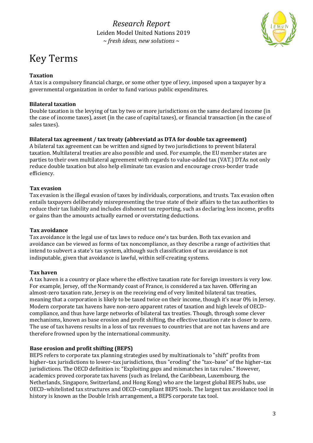# Key Terms

#### **Taxation**

A tax is a compulsory financial charge, or some other type of levy, imposed upon a taxpayer by a governmental organization in order to fund various public expenditures.

#### **Bilateral taxation**

Double taxation is the levying of tax by two or more jurisdictions on the same declared income (in the case of income taxes), asset (in the case of capital taxes), or financial transaction (in the case of sales taxes).

#### Bilateral tax agreement / tax treaty (abbreviatd as DTA for double tax agreement)

A bilateral tax agreement can be written and signed by two jurisdictions to prevent bilateral taxation. Multilateral treaties are also possible and used. For example, the EU member states are parties to their own multilateral agreement with regards to value-added tax (VAT.) DTAs not only reduce double taxation but also help eliminate tax evasion and encourage cross-border trade efficiency. 

#### **Tax evasion**

Tax evasion is the illegal evasion of taxes by individuals, corporations, and trusts. Tax evasion often entails taxpayers deliberately misrepresenting the true state of their affairs to the tax authorities to reduce their tax liability and includes dishonest tax reporting, such as declaring less income, profits or gains than the amounts actually earned or overstating deductions.

#### **Tax avoidance**

Tax avoidance is the legal use of tax laws to reduce one's tax burden. Both tax evasion and avoidance can be viewed as forms of tax noncompliance, as they describe a range of activities that intend to subvert a state's tax system, although such classification of tax avoidance is not indisputable, given that avoidance is lawful, within self-creating systems.

#### **Tax haven**

A tax haven is a country or place where the effective taxation rate for foreign investors is very low. For example, Jersey, off the Normandy coast of France, is considered a tax haven. Offering an almost-zero taxation rate, Jersey is on the receiving end of very limited bilateral tax treaties, meaning that a corporation is likely to be taxed twice on their income, though it's near 0% in Jersey. Modern corporate tax havens have non-zero apparent rates of taxation and high levels of OECDcompliance, and thus have large networks of bilateral tax treaties. Though, through some clever mechanisms, known as base erosion and profit shifting, the effective taxation rate is closer to zero. The use of tax havens results in a loss of tax revenues to countries that are not tax havens and are therefore frowned upon by the international community.

#### **Base erosion and profit shifting (BEPS)**

BEPS refers to corporate tax planning strategies used by multinationals to "shift" profits from higher-tax jurisdictions to lower-tax jurisdictions, thus "eroding" the "tax-base" of the higher-tax jurisdictions. The OECD definition is: "Exploiting gaps and mismatches in tax rules." However, academics proved corporate tax havens (such as Ireland, the Caribbean, Luxembourg, the Netherlands, Singapore, Switzerland, and Hong Kong) who are the largest global BEPS hubs, use OECD-whitelisted tax structures and OECD-compliant BEPS tools. The largest tax avoidance tool in history is known as the Double Irish arrangement, a BEPS corporate tax tool.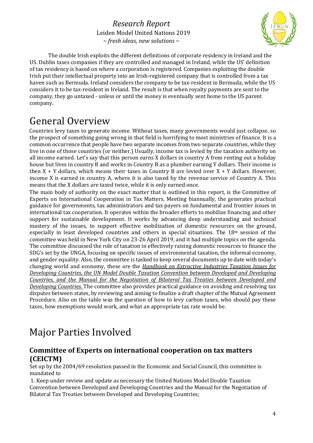### *Research Report*  Leiden Model United Nations 2019 *~ fresh ideas, new solutions ~*



The double Irish exploits the different definitions of corporate residency in Ireland and the US. Dublin taxes companies if they are controlled and managed in Ireland, while the US' definition of tax residency is based on where a corporation is registered. Companies exploiting the double Irish put their intellectual property into an Irish-registered company that is controlled from a tax haven such as Bermuda. Ireland considers the company to be tax-resident in Bermuda, while the US considers it to be tax-resident in Ireland. The result is that when royalty payments are sent to the company, they go untaxed - unless or until the money is eventually sent home to the US parent company.

### General Overview

Countries levy taxes to generate income. Without taxes, many governments would just collapse, so the prospect of something going wrong in that field is horrifying to most ministries of finance. It is a common occurrence that people have two separate incomes from two separate countries, while they live in one of those countries (or neither.) Usually, income tax is levied by the taxation authority on all income earned. Let's say that this person earns X dollars in country A from renting out a holiday house but lives in country B and works in Country B as a plumber earning Y dollars. Their income is then  $X + Y$  dollars, which means their taxes in Country B are levied over  $X + Y$  dollars. However, income X is earned in country A, where it is also taxed by the revenue service of Country A. This means that the X dollars are taxed twice, while it is only earned once.

The main body of authority on the exact matter that is outlined in this report, is the Committee of Experts on International Cooperation in Tax Matters. Meeting biannually, the generates practical guidance for governments, tax administrators and tax payers on fundamental and frontier issues in international tax cooperation. It operates within the broader efforts to mobilize financing and other support for sustainable development. It works by advancing deep understanding and technical mastery of the issues, to support effective mobilization of domestic resources on the ground, especially in least developed countries and others in special situations. The  $18<sup>th</sup>$  session of the committee was held in New York City on 23-26 April 2019, and it had multiple topics on the agenda. The committee discussed the role of taxation in effectively raising domestic resources to finance the SDG's set by the UNGA, focusing on specific issues of environmental taxation, the informal economy, and gender equality. Also, the committee is tasked to keep several documents up to date with today's changing world and economy, these are the *Handbook on Extractive Industries Taxation Issues for Developing Countries, the UN Model Double Taxation Convention between Developed and Developing Countries, and the Manual for the Negotiation of Bilateral Tax Treaties between Developed and Developing Countries.* The committee also provides practical guidance on avoiding and resolving tax disputes between states, by reviewing and aiming to finalize a draft chapter of the Mutual Agreement Procedure. Also on the table was the question of how to levy carbon taxes, who should pay these taxes, how exemptions would work, and what an appropriate tax rate would be.

# **Major Parties Involved**

### **Committee of Experts on international cooperation on tax matters (CEICTM)**

Set up by the 2004/69 resolution passed in the Economic and Social Council, this committee is mandated to

1. Keep under review and update as necessary the United Nations Model Double Taxation Convention between Developed and Developing Countries and the Manual for the Negotiation of Bilateral Tax Treaties between Developed and Developing Countries;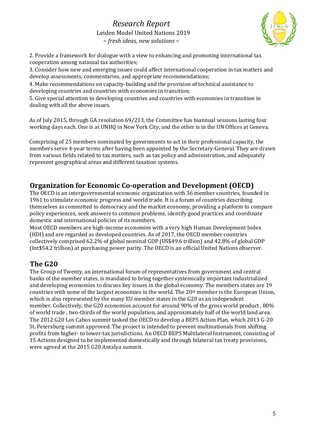

2. Provide a framework for dialogue with a view to enhancing and promoting international tax cooperation among national tax authorities;

3. Consider how new and emerging issues could affect international cooperation in tax matters and develop assessments, commentaries, and appropriate recommendations;

4. Make recommendations on capacity-building and the provision of technical assistance to developing countries and countries with economies in transition;

5. Give special attention to developing countries and countries with economies in transition in dealing with all the above issues.

As of July 2015, through GA resolution 69/213, the Committee has biannual sessions lasting four working days each. One is at UNHQ in New York City, and the other is in the UN Offices at Geneva.

Comprising of 25 members nominated by governments to act in their professional capacity, the members serve 4-year terms after having been appointed by the Secretary-General. They are drawn from various fields related to tax matters, such as tax policy and administration, and adequately represent geographical areas and different taxation systems.

### **Organization for Economic Co-operation and Development (OECD)**

The OECD is an intergovernmental economic organization with 36 member countries, founded in 1961 to stimulate economic progress and world trade. It is a forum of countries describing themselves as committed to democracy and the market economy, providing a platform to compare policy experiences, seek answers to common problems, identify good practices and coordinate domestic and international policies of its members.

Most OECD members are high-income economies with a very high Human Development Index (HDI) and are regarded as developed countries. As of 2017, the OECD member countries collectively comprised 62.2% of global nominal GDP (US\$49.6 trillion) and 42.8% of global GDP (Int\$54.2 trillion) at purchasing power parity. The OECD is an official United Nations observer.

### **The G20**

The Group of Twenty, an international forum of representatives from government and central banks of the member states, is mandated to bring together systemically important industrialized and developing economies to discuss key issues in the global economy. The members states are 19 countries with some of the largest economies in the world. The  $20<sup>th</sup>$  member is the European Union, which is also represented by the many EU member states in the G20 as an independent member. Collectively, the G20 economies account for around 90% of the gross world product, 80% of world trade, two-thirds of the world population, and approximately half of the world land area. The 2012 G20 Los Cabos summit tasked the OECD to develop a BEPS Action Plan, which 2013 G-20 St. Petersburg summit approved. The project is intended to prevent multinationals from shifting profits from higher- to lower-tax jurisdictions. An OECD BEPS Multilateral Instrument, consisting of 15 Actions designed to be implemented domestically and through bilateral tax treaty provisions, were agreed at the 2015 G20 Antalya summit.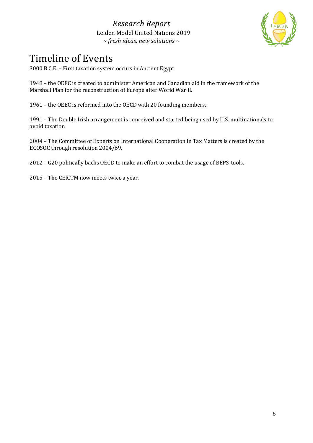*Research Report*  Leiden Model United Nations 2019 *~ fresh ideas, new solutions ~* 



# Timeline of Events

3000 B.C.E. – First taxation system occurs in Ancient Egypt

1948 - the OEEC is created to administer American and Canadian aid in the framework of the Marshall Plan for the reconstruction of Europe after World War II.

1961 – the OEEC is reformed into the OECD with 20 founding members.

1991 - The Double Irish arrangement is conceived and started being used by U.S. multinationals to avoid taxation

2004 – The Committee of Experts on International Cooperation in Tax Matters is created by the ECOSOC through resolution 2004/69.

2012 - G20 politically backs OECD to make an effort to combat the usage of BEPS-tools.

2015 - The CEICTM now meets twice a year.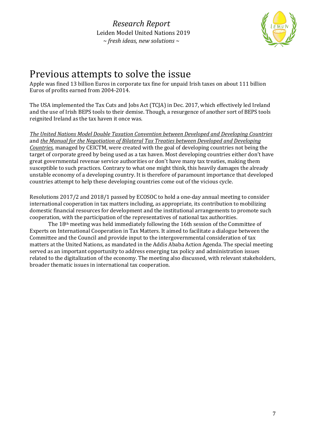

### Previous attempts to solve the issue

Apple was fined 13 billion Euros in corporate tax fine for unpaid Irish taxes on about 111 billion Euros of profits earned from 2004-2014.

The USA implemented the Tax Cuts and Jobs Act (TCJA) in Dec. 2017, which effectively led Ireland and the use of Irish BEPS tools to their demise. Though, a resurgence of another sort of BEPS tools reignited Ireland as the tax haven it once was.

**The United Nations Model Double Taxation Convention between Developed and Developing Countries** and *the Manual for the Negotiation of Bilateral Tax Treaties between Developed and Developing Countries,* managed by CEICTM, were created with the goal of developing countries not being the target of corporate greed by being used as a tax haven. Most developing countries either don't have great governmental revenue service authorities or don't have many tax treaties, making them susceptible to such practices. Contrary to what one might think, this heavily damages the already unstable economy of a developing country. It is therefore of paramount importance that developed countries attempt to help these developing countries come out of the vicious cycle.

Resolutions 2017/2 and 2018/1 passed by ECOSOC to hold a one-day annual meeting to consider international cooperation in tax matters including, as appropriate, its contribution to mobilizing domestic financial resources for development and the institutional arrangements to promote such cooperation, with the participation of the representatives of national tax authorities.

The  $18<sup>th</sup>$  meeting was held immediately following the 16th session of the Committee of Experts on International Cooperation in Tax Matters. It aimed to facilitate a dialogue between the Committee and the Council and provide input to the intergovernmental consideration of tax matters at the United Nations, as mandated in the Addis Ababa Action Agenda. The special meeting served as an important opportunity to address emerging tax policy and administration issues related to the digitalization of the economy. The meeting also discussed, with relevant stakeholders, broader thematic issues in international tax cooperation.